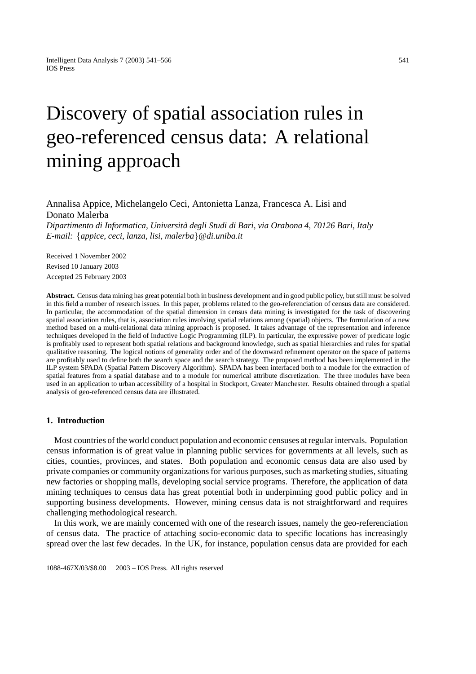# Discovery of spatial association rules in geo-referenced census data: A relational mining approach

# Annalisa Appice, Michelangelo Ceci, Antonietta Lanza, Francesca A. Lisi and Donato Malerba

*Dipartimento di Informatica, Universita degli Studi di Bari, via Orabona 4, 70126 Bari, Italy ` E-mail:* {*appice, ceci, lanza, lisi, malerba*}*@di.uniba.it*

Received 1 November 2002 Revised 10 January 2003 Accepted 25 February 2003

**Abstract.** Census data mining has great potential both in business development and in good public policy, but still must be solved in this field a number of research issues. In this paper, problems related to the geo-referenciation of census data are considered. In particular, the accommodation of the spatial dimension in census data mining is investigated for the task of discovering spatial association rules, that is, association rules involving spatial relations among (spatial) objects. The formulation of a new method based on a multi-relational data mining approach is proposed. It takes advantage of the representation and inference techniques developed in the field of Inductive Logic Programming (ILP). In particular, the expressive power of predicate logic is profitably used to represent both spatial relations and background knowledge, such as spatial hierarchies and rules for spatial qualitative reasoning. The logical notions of generality order and of the downward refinement operator on the space of patterns are profitably used to define both the search space and the search strategy. The proposed method has been implemented in the ILP system SPADA (Spatial Pattern Discovery Algorithm). SPADA has been interfaced both to a module for the extraction of spatial features from a spatial database and to a module for numerical attribute discretization. The three modules have been used in an application to urban accessibility of a hospital in Stockport, Greater Manchester. Results obtained through a spatial analysis of geo-referenced census data are illustrated.

#### **1. Introduction**

Most countries of the world conduct population and economic censuses at regular intervals. Population census information is of great value in planning public services for governments at all levels, such as cities, counties, provinces, and states. Both population and economic census data are also used by private companies or community organizations for various purposes, such as marketing studies, situating new factories or shopping malls, developing social service programs. Therefore, the application of data mining techniques to census data has great potential both in underpinning good public policy and in supporting business developments. However, mining census data is not straightforward and requires challenging methodological research.

In this work, we are mainly concerned with one of the research issues, namely the geo-referenciation of census data. The practice of attaching socio-economic data to specific locations has increasingly spread over the last few decades. In the UK, for instance, population census data are provided for each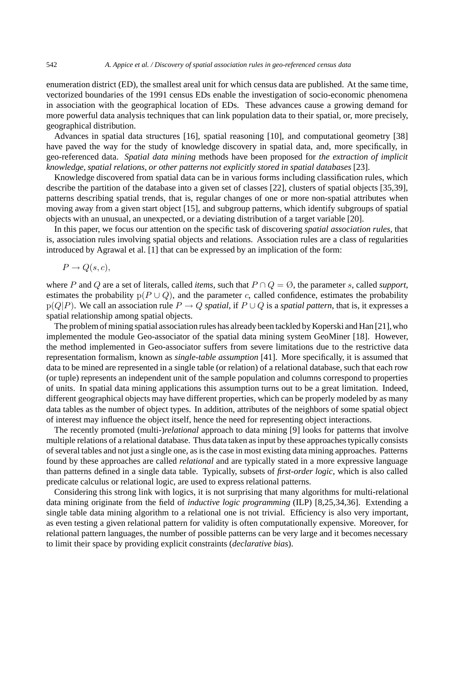enumeration district (ED), the smallest areal unit for which census data are published. At the same time, vectorized boundaries of the 1991 census EDs enable the investigation of socio-economic phenomena in association with the geographical location of EDs. These advances cause a growing demand for more powerful data analysis techniques that can link population data to their spatial, or, more precisely, geographical distribution.

Advances in spatial data structures [16], spatial reasoning [10], and computational geometry [38] have paved the way for the study of knowledge discovery in spatial data, and, more specifically, in geo-referenced data. *Spatial data mining* methods have been proposed for *the extraction of implicit knowledge, spatial relations, or other patterns not explicitly stored in spatial databases* [23].

Knowledge discovered from spatial data can be in various forms including classification rules, which describe the partition of the database into a given set of classes [22], clusters of spatial objects [35,39], patterns describing spatial trends, that is, regular changes of one or more non-spatial attributes when moving away from a given start object [15], and subgroup patterns, which identify subgroups of spatial objects with an unusual, an unexpected, or a deviating distribution of a target variable [20].

In this paper, we focus our attention on the specific task of discovering *spatial association rules*, that is, association rules involving spatial objects and relations. Association rules are a class of regularities introduced by Agrawal et al. [1] that can be expressed by an implication of the form:

$$
P \to Q(s, c),
$$

where P and Q are a set of literals, called *items*, such that  $P \cap Q = \emptyset$ , the parameter s, called *support*, estimates the probability  $p(P \cup Q)$ , and the parameter c, called confidence, estimates the probability p( $Q|P$ ). We call an association rule  $P \to Q$  *spatial*, if  $P \cup Q$  is a *spatial pattern*, that is, it expresses a spatial relationship among spatial objects.

The problem of mining spatial association rules has already been tackled by Koperski and Han [21], who implemented the module Geo-associator of the spatial data mining system GeoMiner [18]. However, the method implemented in Geo-associator suffers from severe limitations due to the restrictive data representation formalism, known as *single-table assumption* [41]. More specifically, it is assumed that data to be mined are represented in a single table (or relation) of a relational database, such that each row (or tuple) represents an independent unit of the sample population and columns correspond to properties of units. In spatial data mining applications this assumption turns out to be a great limitation. Indeed, different geographical objects may have different properties, which can be properly modeled by as many data tables as the number of object types. In addition, attributes of the neighbors of some spatial object of interest may influence the object itself, hence the need for representing object interactions.

The recently promoted (multi-)*relational* approach to data mining [9] looks for patterns that involve multiple relations of a relational database. Thus data taken as input by these approaches typically consists of several tables and not just a single one, as is the case in most existing data mining approaches. Patterns found by these approaches are called *relational* and are typically stated in a more expressive language than patterns defined in a single data table. Typically, subsets of *first-order logic*, which is also called predicate calculus or relational logic, are used to express relational patterns.

Considering this strong link with logics, it is not surprising that many algorithms for multi-relational data mining originate from the field of *inductive logic programming* (ILP) [8,25,34,36]. Extending a single table data mining algorithm to a relational one is not trivial. Efficiency is also very important, as even testing a given relational pattern for validity is often computationally expensive. Moreover, for relational pattern languages, the number of possible patterns can be very large and it becomes necessary to limit their space by providing explicit constraints (*declarative bias*).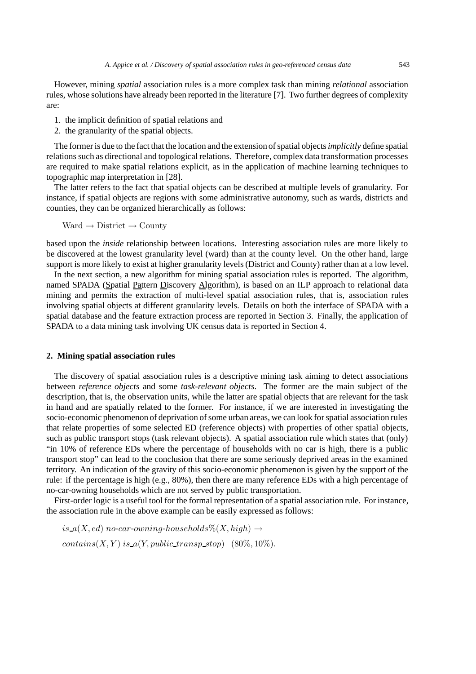However, mining *spatial* association rules is a more complex task than mining *relational* association rules, whose solutions have already been reported in the literature [7]. Two further degrees of complexity are:

- 1. the implicit definition of spatial relations and
- 2. the granularity of the spatial objects.

The former is due to the fact that the location and the extension of spatial objects*implicitly* define spatial relations such as directional and topological relations. Therefore, complex data transformation processes are required to make spatial relations explicit, as in the application of machine learning techniques to topographic map interpretation in [28].

The latter refers to the fact that spatial objects can be described at multiple levels of granularity. For instance, if spatial objects are regions with some administrative autonomy, such as wards, districts and counties, they can be organized hierarchically as follows:

Ward  $\rightarrow$  District  $\rightarrow$  County

based upon the *inside* relationship between locations. Interesting association rules are more likely to be discovered at the lowest granularity level (ward) than at the county level. On the other hand, large support is more likely to exist at higher granularity levels (District and County) rather than at a low level.

In the next section, a new algorithm for mining spatial association rules is reported. The algorithm, named SPADA (Spatial Pattern Discovery Algorithm), is based on an ILP approach to relational data mining and permits the extraction of multi-level spatial association rules, that is, association rules involving spatial objects at different granularity levels. Details on both the interface of SPADA with a spatial database and the feature extraction process are reported in Section 3. Finally, the application of SPADA to a data mining task involving UK census data is reported in Section 4.

### **2. Mining spatial association rules**

The discovery of spatial association rules is a descriptive mining task aiming to detect associations between *reference objects* and some *task-relevant objects*. The former are the main subject of the description, that is, the observation units, while the latter are spatial objects that are relevant for the task in hand and are spatially related to the former. For instance, if we are interested in investigating the socio-economic phenomenon of deprivation of some urban areas, we can look for spatial association rules that relate properties of some selected ED (reference objects) with properties of other spatial objects, such as public transport stops (task relevant objects). A spatial association rule which states that (only) "in 10% of reference EDs where the percentage of households with no car is high, there is a public transport stop" can lead to the conclusion that there are some seriously deprived areas in the examined territory. An indication of the gravity of this socio-economic phenomenon is given by the support of the rule: if the percentage is high (e.g., 80%), then there are many reference EDs with a high percentage of no-car-owning households which are not served by public transportation.

First-order logic is a useful tool for the formal representation of a spatial association rule. For instance, the association rule in the above example can be easily expressed as follows:

is  $a(X, ed)$  no-car-owning-households  $\mathcal{K}(X, high) \rightarrow$  $contains(X, Y)$  is  $a(Y, public\_transport, stop)$  (80%, 10%).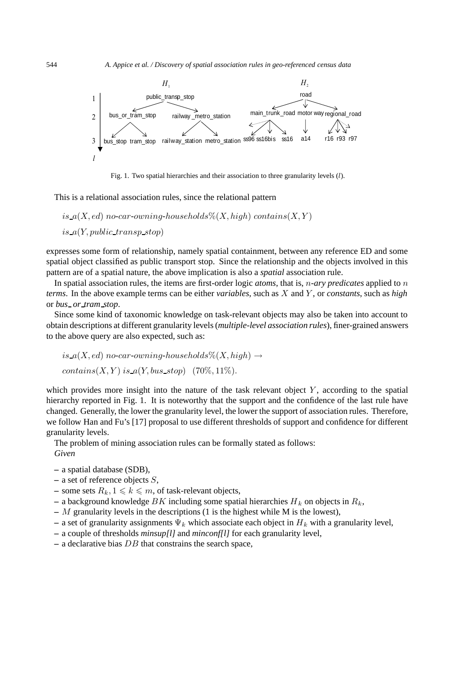

Fig. 1. Two spatial hierarchies and their association to three granularity levels (l).

This is a relational association rules, since the relational pattern

 $is_a(X, ed)$  no-car-owning-households% $(X, high)$  contains $(X, Y)$  $is_a(Y, public\_transport, stop)$ 

expresses some form of relationship, namely spatial containment, between any reference ED and some spatial object classified as public transport stop. Since the relationship and the objects involved in this pattern are of a spatial nature, the above implication is also a *spatial* association rule.

In spatial association rules, the items are first-order logic *atoms*, that is, n-*ary predicates* applied to n *terms*. In the above example terms can be either *variables*, such as X and Y , or *constants*, such as *high* or *bus or tram stop*.

Since some kind of taxonomic knowledge on task-relevant objects may also be taken into account to obtain descriptions at different granularity levels (*multiple-level association rules*), finer-grained answers to the above query are also expected, such as:

 $is_a(X, ed)$  no-car-owning-households% $(X, high) \rightarrow$ contains $(X, Y)$  is  $a(Y, bus\_stop)$  (70%, 11%).

which provides more insight into the nature of the task relevant object  $Y$ , according to the spatial hierarchy reported in Fig. 1. It is noteworthy that the support and the confidence of the last rule have changed. Generally, the lower the granularity level, the lower the support of association rules. Therefore, we follow Han and Fu's [17] proposal to use different thresholds of support and confidence for different granularity levels.

The problem of mining association rules can be formally stated as follows: *Given*

- **–** a spatial database (SDB),
- **–** a set of reference objects S,
- **–** some sets  $R_k$ ,  $1 \leq k \leq m$ , of task-relevant objects,
- a background knowledge BK including some spatial hierarchies  $H_k$  on objects in  $R_k$ ,
- **–** M granularity levels in the descriptions (1 is the highest while M is the lowest),
- a set of granularity assignments  $\Psi_k$  which associate each object in  $H_k$  with a granularity level,
- **–** a couple of thresholds *minsup[l]* and *minconf[l]* for each granularity level,
- **–** a declarative bias DB that constrains the search space,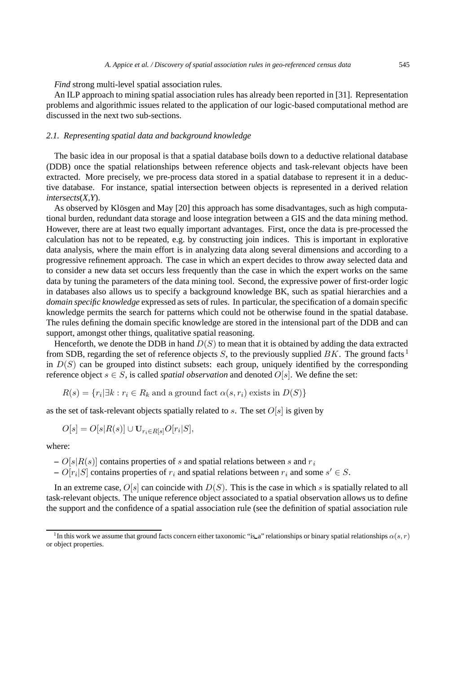*Find* strong multi-level spatial association rules.

An ILP approach to mining spatial association rules has already been reported in [31]. Representation problems and algorithmic issues related to the application of our logic-based computational method are discussed in the next two sub-sections.

## *2.1. Representing spatial data and background knowledge*

The basic idea in our proposal is that a spatial database boils down to a deductive relational database (DDB) once the spatial relationships between reference objects and task-relevant objects have been extracted. More precisely, we pre-process data stored in a spatial database to represent it in a deductive database. For instance, spatial intersection between objects is represented in a derived relation *intersects*(*X,Y*).

As observed by Klösgen and May [20] this approach has some disadvantages, such as high computational burden, redundant data storage and loose integration between a GIS and the data mining method. However, there are at least two equally important advantages. First, once the data is pre-processed the calculation has not to be repeated, e.g. by constructing join indices. This is important in explorative data analysis, where the main effort is in analyzing data along several dimensions and according to a progressive refinement approach. The case in which an expert decides to throw away selected data and to consider a new data set occurs less frequently than the case in which the expert works on the same data by tuning the parameters of the data mining tool. Second, the expressive power of first-order logic in databases also allows us to specify a background knowledge BK, such as spatial hierarchies and a *domain specific knowledge* expressed as sets of rules. In particular, the specification of a domain specific knowledge permits the search for patterns which could not be otherwise found in the spatial database. The rules defining the domain specific knowledge are stored in the intensional part of the DDB and can support, amongst other things, qualitative spatial reasoning.

Henceforth, we denote the DDB in hand  $D(S)$  to mean that it is obtained by adding the data extracted from SDB, regarding the set of reference objects  $S$ , to the previously supplied  $BK$ . The ground facts  $<sup>1</sup>$ </sup> in  $D(S)$  can be grouped into distinct subsets: each group, uniquely identified by the corresponding reference object  $s \in S$ , is called *spatial observation* and denoted  $O[s]$ . We define the set:

$$
R(s) = \{r_i | \exists k : r_i \in R_k \text{ and a ground fact } \alpha(s, r_i) \text{ exists in } D(S)\}
$$

as the set of task-relevant objects spatially related to s. The set  $O[s]$  is given by

$$
O[s] = O[s|R(s)] \cup \mathbf{U}_{r_i \in R[s]} O[r_i|S],
$$

where:

- $O[s|R(s)]$  contains properties of s and spatial relations between s and  $r_i$
- $O[r_i|S]$  contains properties of  $r_i$  and spatial relations between  $r_i$  and some  $s' \in S$ .

In an extreme case,  $O[s]$  can coincide with  $D(S)$ . This is the case in which s is spatially related to all task-relevant objects. The unique reference object associated to a spatial observation allows us to define the support and the confidence of a spatial association rule (see the definition of spatial association rule

<sup>&</sup>lt;sup>1</sup>In this work we assume that ground facts concern either taxonomic "is a" relationships or binary spatial relationships  $\alpha(s, r)$ or object properties.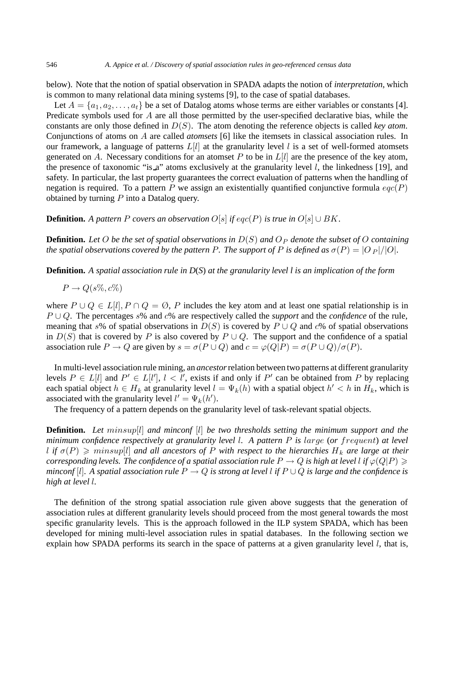below). Note that the notion of spatial observation in SPADA adapts the notion of *interpretation*, which is common to many relational data mining systems [9], to the case of spatial databases.

Let  $A = \{a_1, a_2, \ldots, a_t\}$  be a set of Datalog atoms whose terms are either variables or constants [4]. Predicate symbols used for A are all those permitted by the user-specified declarative bias, while the constants are only those defined in D(S). The atom denoting the reference objects is called *key atom*. Conjunctions of atoms on A are called *atomsets* [6] like the itemsets in classical association rules. In our framework, a language of patterns  $L[l]$  at the granularity level l is a set of well-formed atomsets generated on A. Necessary conditions for an atomset P to be in  $L[l]$  are the presence of the key atom, the presence of taxonomic "is a" atoms exclusively at the granularity level  $l$ , the linkedness [19], and safety. In particular, the last property guarantees the correct evaluation of patterns when the handling of negation is required. To a pattern P we assign an existentially quantified conjunctive formula  $eqc(P)$ obtained by turning  $P$  into a Datalog query.

**Definition.** *A pattern* P *covers an observation*  $O[s]$  *if*  $eqc(P)$  *is true in*  $O[s] \cup BK$ .

**Definition.** Let O be the set of spatial observations in  $D(S)$  and  $O_P$  denote the subset of O containing *the spatial observations covered by the pattern* P. The support of P is defined as  $\sigma(P) = |O_P|/|O|$ .

**Definition.** *A spatial association rule in D*(*S*) *at the granularity level l is an implication of the form*

 $P \rightarrow Q(s\%, c\%)$ 

where  $P \cup Q \in L[l], P \cap Q = Q$ , P includes the key atom and at least one spatial relationship is in P ∪ Q. The percentages s% and c% are respectively called the *support* and the *confidence* of the rule, meaning that s% of spatial observations in  $D(S)$  is covered by  $P \cup Q$  and c% of spatial observations in  $D(S)$  that is covered by P is also covered by  $P \cup Q$ . The support and the confidence of a spatial association rule  $P \to Q$  are given by  $s = \sigma(P \cup Q)$  and  $c = \varphi(Q|P) = \sigma(P \cup Q)/\sigma(P)$ .

In multi-level association rule mining, an *ancestor*relation between two patterns at different granularity levels  $P \in L[l]$  and  $P' \in L[l'], l < l'$ , exists if and only if  $P'$  can be obtained from P by replacing each spatial object  $h \in H_k$  at granularity level  $l = \Psi_k(h)$  with a spatial object  $h' < h$  in  $H_k$ , which is associated with the granularity level  $l' = \Psi_k(h')$ .

The frequency of a pattern depends on the granularity level of task-relevant spatial objects.

**Definition.** *Let* minsup[l] *and minconf* [l] *be two thresholds setting the minimum support and the minimum confidence respectively at granularity level* l*. A pattern* P *is* large (*or* f requent) *at level*  $l$  if  $\sigma(P) \geqslant minsup[l]$  and all ancestors of  $P$  with respect to the hierarchies  $H_k$  are large at their  $corresponding$  levels. The confidence of a spatial association rule  $P\to Q$  is high at level l if  $\varphi(Q|P)\geqslant 1$ *minconf* [l]*. A spatial association rule* P → Q *is strong at level* l *if* P ∪ Q *is large and the confidence is high at level* l*.*

The definition of the strong spatial association rule given above suggests that the generation of association rules at different granularity levels should proceed from the most general towards the most specific granularity levels. This is the approach followed in the ILP system SPADA, which has been developed for mining multi-level association rules in spatial databases. In the following section we explain how SPADA performs its search in the space of patterns at a given granularity level  $l$ , that is,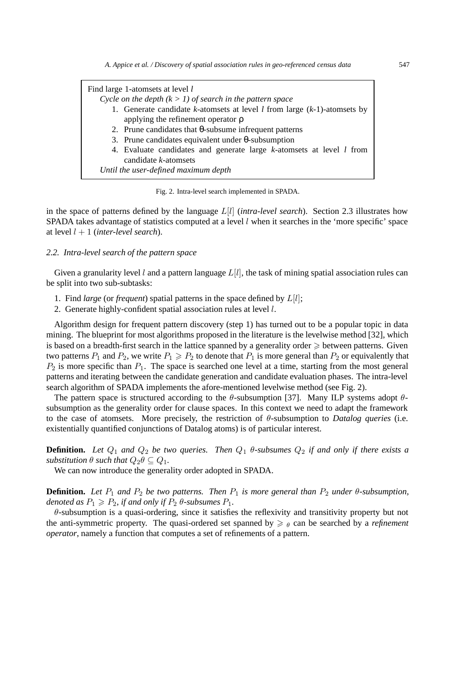| Find large 1-atomsets at level <i>l</i><br>Cycle on the depth $(k > 1)$ of search in the pattern space |  |  |
|--------------------------------------------------------------------------------------------------------|--|--|
| 1. Generate candidate <i>k</i> -atomsets at level <i>l</i> from large $(k-1)$ -atomsets by             |  |  |
| applying the refinement operator $\rho$                                                                |  |  |
| 2. Prune candidates that $\theta$ -subsume infrequent patterns                                         |  |  |
| 3. Prune candidates equivalent under $\theta$ -subsumption                                             |  |  |
| 4. Evaluate candidates and generate large k-atomsets at level <i>l</i> from<br>candidate k-atomsets    |  |  |
| Until the user-defined maximum depth                                                                   |  |  |

Fig. 2. Intra-level search implemented in SPADA.

in the space of patterns defined by the language L[l] (*intra-level search*). Section 2.3 illustrates how SPADA takes advantage of statistics computed at a level  $l$  when it searches in the 'more specific' space at level  $l + 1$  (*inter-level search*).

# *2.2. Intra-level search of the pattern space*

Given a granularity level l and a pattern language  $L[l]$ , the task of mining spatial association rules can be split into two sub-subtasks:

- 1. Find *large* (or *frequent*) spatial patterns in the space defined by L[l];
- 2. Generate highly-confident spatial association rules at level l.

Algorithm design for frequent pattern discovery (step 1) has turned out to be a popular topic in data mining. The blueprint for most algorithms proposed in the literature is the levelwise method [32], which is based on a breadth-first search in the lattice spanned by a generality order  $\geqslant$  between patterns. Given two patterns  $P_1$  and  $P_2$ , we write  $P_1 \geqslant P_2$  to denote that  $P_1$  is more general than  $P_2$  or equivalently that  $P_2$  is more specific than  $P_1$ . The space is searched one level at a time, starting from the most general patterns and iterating between the candidate generation and candidate evaluation phases. The intra-level search algorithm of SPADA implements the afore-mentioned levelwise method (see Fig. 2).

The pattern space is structured according to the  $\theta$ -subsumption [37]. Many ILP systems adopt  $\theta$ subsumption as the generality order for clause spaces. In this context we need to adapt the framework to the case of atomsets. More precisely, the restriction of θ-subsumption to *Datalog queries* (i.e. existentially quantified conjunctions of Datalog atoms) is of particular interest.

**Definition.** Let  $Q_1$  and  $Q_2$  be two queries. Then  $Q_1$   $\theta$ -subsumes  $Q_2$  if and only if there exists a *substitution*  $\theta$  *such that*  $Q_2 \theta \subseteq Q_1$ *.* 

We can now introduce the generality order adopted in SPADA.

**Definition.** Let  $P_1$  and  $P_2$  be two patterns. Then  $P_1$  is more general than  $P_2$  under  $\theta$ -subsumption, *denoted as*  $P_1 \geqslant P_2$ , *if and only if*  $P_2$   $\theta$ -subsumes  $P_1$ .

 $\theta$ -subsumption is a quasi-ordering, since it satisfies the reflexivity and transitivity property but not the anti-symmetric property. The quasi-ordered set spanned by  $\geq \theta$  can be searched by a *refinement operator*, namely a function that computes a set of refinements of a pattern.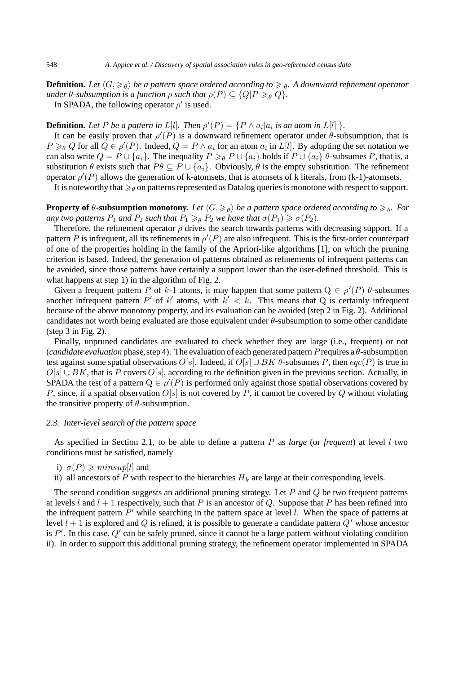**Definition.** Let  $\langle G,\geqslant_{\theta}\rangle$  be a pattern space ordered according to  $\geqslant$   $_{\theta}$ . A downward refinement operator under  $\theta$ -subsumption is a function  $\rho$  such that  $\rho(P) \subseteq \{Q | P \geqslant_{\theta} Q\}.$ 

In SPADA, the following operator  $\rho'$  is used.

# **Definition.** Let P be a pattern in  $L[l]$ . Then  $\rho'(P) = \{P \wedge a_i | a_i \text{ is an atom in } L[l] \}$ .

It can be easily proven that  $\rho'(P)$  is a downward refinement operator under  $\theta$ -subsumption, that is  $P \geq_{\theta} Q$  for all  $Q \in \rho'(P)$ . Indeed,  $Q = P \wedge a_i$  for an atom  $a_i$  in  $L[l]$ . By adopting the set notation we can also write  $Q = P \cup \{a_i\}$ . The inequality  $P \geq \theta P \cup \{a_i\}$  holds if  $P \cup \{a_i\}$   $\theta$ -subsumes  $P$ , that is, a substitution  $\theta$  exists such that  $P\theta \subseteq P \cup \{a_i\}$ . Obviously,  $\theta$  is the empty substitution. The refinement operator  $\rho'(P)$  allows the generation of k-atomsets, that is atomsets of k literals, from (k-1)-atomsets.

It is noteworthy that  $\geq_{\theta}$  on patterns represented as Datalog queries is monotone with respect to support.

**Property of**  $\theta$ **-subsumption monotony.** Let  $\langle G, \geqslant_\theta \rangle$  be a pattern space ordered according to  $\geqslant_\theta$ . For *any two patterns*  $P_1$  *and*  $P_2$  *such that*  $P_1 \geq_\theta P_2$  *we have that*  $\sigma(P_1) \geq \sigma(P_2)$ *.* 

Therefore, the refinement operator  $\rho$  drives the search towards patterns with decreasing support. If a pattern P is infrequent, all its refinements in  $\rho'(P)$  are also infrequent. This is the first-order counterpart of one of the properties holding in the family of the Apriori-like algorithms [1], on which the pruning criterion is based. Indeed, the generation of patterns obtained as refinements of infrequent patterns can be avoided, since those patterns have certainly a support lower than the user-defined threshold. This is what happens at step 1) in the algorithm of Fig. 2.

Given a frequent pattern P of k-1 atoms, it may happen that some pattern  $Q \in \rho'(P)$  θ-subsumes another infrequent pattern P' of k' atoms, with  $k' < k$ . This means that Q is certainly infrequent because of the above monotony property, and its evaluation can be avoided (step 2 in Fig. 2). Additional candidates not worth being evaluated are those equivalent under  $\theta$ -subsumption to some other candidate  $(\text{step } 3 \text{ in Fig. 2}).$ 

Finally, unpruned candidates are evaluated to check whether they are large (i.e., frequent) or not (*candidate evaluation* phase, step 4). The evaluation of each generated pattern P requires a  $\theta$ -subsumption test against some spatial observations O[s]. Indeed, if O[s]  $\cup$  BK  $\theta$ -subsumes P, then eqc(P) is true in  $O[s] \cup BK$ , that is P covers  $O[s]$ , according to the definition given in the previous section. Actually, in SPADA the test of a pattern  $Q \in \rho'(P)$  is performed only against those spatial observations covered by P, since, if a spatial observation  $O[s]$  is not covered by P, it cannot be covered by Q without violating the transitive property of  $\theta$ -subsumption.

#### *2.3. Inter-level search of the pattern space*

As specified in Section 2.1, to be able to define a pattern P as *large* (or *frequent*) at level l two conditions must be satisfied, namely

- i)  $\sigma(P) \geqslant minsup[l]$  and
- ii) all ancestors of P with respect to the hierarchies  $H_k$  are large at their corresponding levels.

The second condition suggests an additional pruning strategy. Let  $P$  and  $Q$  be two frequent patterns at levels l and  $l + 1$  respectively, such that P is an ancestor of Q. Suppose that P has been refined into the infrequent pattern  $P'$  while searching in the pattern space at level l. When the space of patterns at level  $l + 1$  is explored and  $Q$  is refined, it is possible to generate a candidate pattern  $Q'$  whose ancestor is  $P'$ . In this case,  $Q'$  can be safely pruned, since it cannot be a large pattern without violating condition ii). In order to support this additional pruning strategy, the refinement operator implemented in SPADA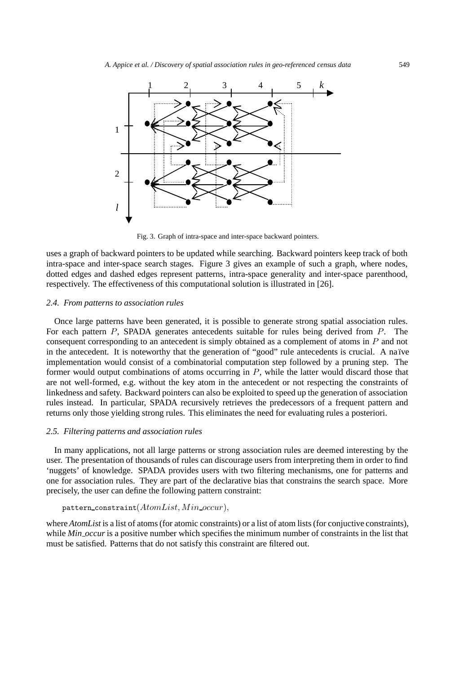

Fig. 3. Graph of intra-space and inter-space backward pointers.

uses a graph of backward pointers to be updated while searching. Backward pointers keep track of both intra-space and inter-space search stages. Figure 3 gives an example of such a graph, where nodes, dotted edges and dashed edges represent patterns, intra-space generality and inter-space parenthood, respectively. The effectiveness of this computational solution is illustrated in [26].

## *2.4. From patterns to association rules*

Once large patterns have been generated, it is possible to generate strong spatial association rules. For each pattern P, SPADA generates antecedents suitable for rules being derived from P. The consequent corresponding to an antecedent is simply obtained as a complement of atoms in P and not in the antecedent. It is noteworthy that the generation of "good" rule antecedents is crucial. A naïve implementation would consist of a combinatorial computation step followed by a pruning step. The former would output combinations of atoms occurring in P, while the latter would discard those that are not well-formed, e.g. without the key atom in the antecedent or not respecting the constraints of linkedness and safety. Backward pointers can also be exploited to speed up the generation of association rules instead. In particular, SPADA recursively retrieves the predecessors of a frequent pattern and returns only those yielding strong rules. This eliminates the need for evaluating rules a posteriori.

## *2.5. Filtering patterns and association rules*

In many applications, not all large patterns or strong association rules are deemed interesting by the user. The presentation of thousands of rules can discourage users from interpreting them in order to find 'nuggets' of knowledge. SPADA provides users with two filtering mechanisms, one for patterns and one for association rules. They are part of the declarative bias that constrains the search space. More precisely, the user can define the following pattern constraint:

```
pattern_constraint(AtomList, Min\_occur),
```
where *AtomList* is a list of atoms (for atomic constraints) or a list of atom lists (for conjuctive constraints), while *Min<sub>r</sub>occur* is a positive number which specifies the minimum number of constraints in the list that must be satisfied. Patterns that do not satisfy this constraint are filtered out.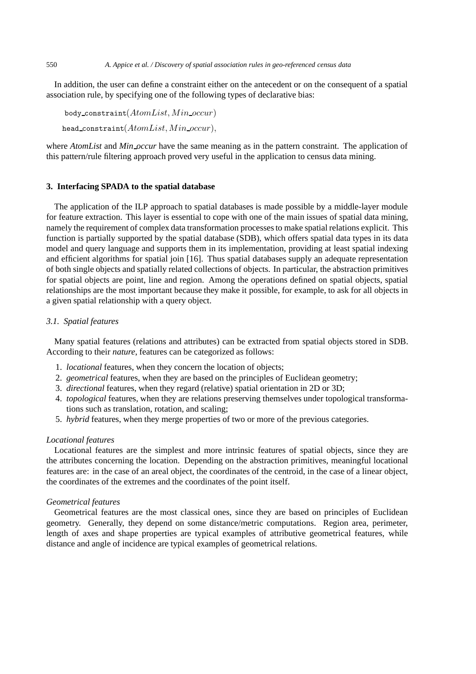In addition, the user can define a constraint either on the antecedent or on the consequent of a spatial association rule, by specifying one of the following types of declarative bias:

body\_constraint $(Atomic, Min\_occur)$ head\_constraint $(AtomList, Min\_occur),$ 

where *AtomList* and *Min occur* have the same meaning as in the pattern constraint. The application of this pattern/rule filtering approach proved very useful in the application to census data mining.

# **3. Interfacing SPADA to the spatial database**

The application of the ILP approach to spatial databases is made possible by a middle-layer module for feature extraction. This layer is essential to cope with one of the main issues of spatial data mining, namely the requirement of complex data transformation processes to make spatial relations explicit. This function is partially supported by the spatial database (SDB), which offers spatial data types in its data model and query language and supports them in its implementation, providing at least spatial indexing and efficient algorithms for spatial join [16]. Thus spatial databases supply an adequate representation of both single objects and spatially related collections of objects. In particular, the abstraction primitives for spatial objects are point, line and region. Among the operations defined on spatial objects, spatial relationships are the most important because they make it possible, for example, to ask for all objects in a given spatial relationship with a query object.

# *3.1. Spatial features*

Many spatial features (relations and attributes) can be extracted from spatial objects stored in SDB. According to their *nature*, features can be categorized as follows:

- 1. *locational* features, when they concern the location of objects;
- 2. *geometrical* features, when they are based on the principles of Euclidean geometry;
- 3. *directional* features, when they regard (relative) spatial orientation in 2D or 3D;
- 4. *topological* features, when they are relations preserving themselves under topological transformations such as translation, rotation, and scaling;
- 5. *hybrid* features, when they merge properties of two or more of the previous categories.

# *Locational features*

Locational features are the simplest and more intrinsic features of spatial objects, since they are the attributes concerning the location. Depending on the abstraction primitives, meaningful locational features are: in the case of an areal object, the coordinates of the centroid, in the case of a linear object, the coordinates of the extremes and the coordinates of the point itself.

#### *Geometrical features*

Geometrical features are the most classical ones, since they are based on principles of Euclidean geometry. Generally, they depend on some distance/metric computations. Region area, perimeter, length of axes and shape properties are typical examples of attributive geometrical features, while distance and angle of incidence are typical examples of geometrical relations.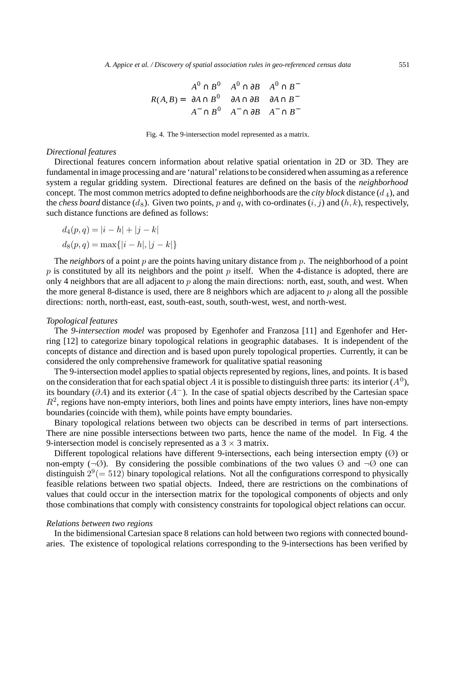$$
R(A,B) = \begin{pmatrix} A^0 \cap B^0 & A^0 \cap \partial B & A^0 \cap B^- \\ \partial A \cap B^0 & \partial A \cap \partial B & \partial A \cap B^- \\ A^- \cap B^0 & A^- \cap \partial B & A^- \cap B^- \end{pmatrix}
$$

Fig. 4. The 9-intersection model represented as a matrix.

#### *Directional features*

Directional features concern information about relative spatial orientation in 2D or 3D. They are fundamental in image processing and are 'natural' relations to be considered when assuming as a reference system a regular gridding system. Directional features are defined on the basis of the *neighborhood* concept. The most common metrics adopted to define neighborhoods are the *city block* distance (d <sup>4</sup>), and the *chess board* distance  $(d_8)$ . Given two points, p and q, with co-ordinates  $(i, j)$  and  $(h, k)$ , respectively, such distance functions are defined as follows:

$$
d_4(p,q) = |i - h| + |j - k|
$$
  

$$
d_8(p,q) = \max\{|i - h|, |j - k|\}
$$

The *neighbors* of a point p are the points having unitary distance from p. The neighborhood of a point  $p$  is constituted by all its neighbors and the point  $p$  itself. When the 4-distance is adopted, there are only 4 neighbors that are all adjacent to  $p$  along the main directions: north, east, south, and west. When the more general 8-distance is used, there are 8 neighbors which are adjacent to  $p$  along all the possible directions: north, north-east, east, south-east, south, south-west, west, and north-west.

#### *Topological features*

The *9-intersection model* was proposed by Egenhofer and Franzosa [11] and Egenhofer and Herring [12] to categorize binary topological relations in geographic databases. It is independent of the concepts of distance and direction and is based upon purely topological properties. Currently, it can be considered the only comprehensive framework for qualitative spatial reasoning

The 9-intersection model applies to spatial objects represented by regions, lines, and points. It is based on the consideration that for each spatial object A it is possible to distinguish three parts: its interior  $(A^0)$ , its boundary ( $\partial A$ ) and its exterior ( $A^-$ ). In the case of spatial objects described by the Cartesian space  $R<sup>2</sup>$ , regions have non-empty interiors, both lines and points have empty interiors, lines have non-empty boundaries (coincide with them), while points have empty boundaries.

Binary topological relations between two objects can be described in terms of part intersections. There are nine possible intersections between two parts, hence the name of the model. In Fig. 4 the 9-intersection model is concisely represented as a  $3 \times 3$  matrix.

Different topological relations have different 9-intersections, each being intersection empty ( $\emptyset$ ) or non-empty  $(\neg \emptyset)$ . By considering the possible combinations of the two values  $\emptyset$  and  $\neg \emptyset$  one can distinguish  $2^9$ (= 512) binary topological relations. Not all the configurations correspond to physically feasible relations between two spatial objects. Indeed, there are restrictions on the combinations of values that could occur in the intersection matrix for the topological components of objects and only those combinations that comply with consistency constraints for topological object relations can occur.

# *Relations between two regions*

In the bidimensional Cartesian space 8 relations can hold between two regions with connected boundaries. The existence of topological relations corresponding to the 9-intersections has been verified by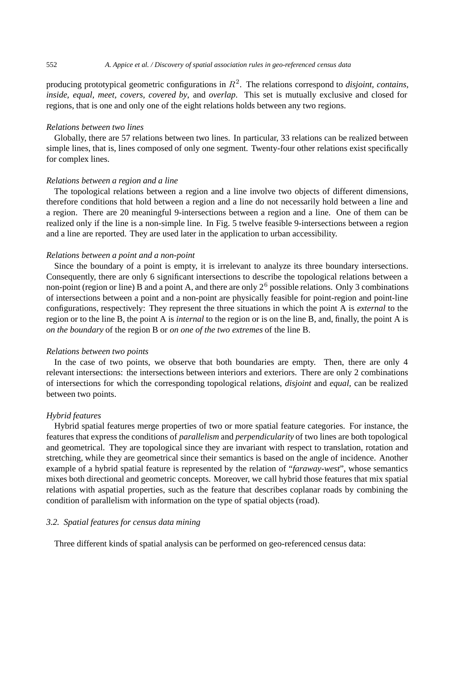producing prototypical geometric configurations in  $R<sup>2</sup>$ . The relations correspond to *disjoint, contains, inside, equal, meet, covers, covered by*, and *overlap*. This set is mutually exclusive and closed for regions, that is one and only one of the eight relations holds between any two regions.

## *Relations between two lines*

Globally, there are 57 relations between two lines. In particular, 33 relations can be realized between simple lines, that is, lines composed of only one segment. Twenty-four other relations exist specifically for complex lines.

# *Relations between a region and a line*

The topological relations between a region and a line involve two objects of different dimensions, therefore conditions that hold between a region and a line do not necessarily hold between a line and a region. There are 20 meaningful 9-intersections between a region and a line. One of them can be realized only if the line is a non-simple line. In Fig. 5 twelve feasible 9-intersections between a region and a line are reported. They are used later in the application to urban accessibility.

#### *Relations between a point and a non-point*

Since the boundary of a point is empty, it is irrelevant to analyze its three boundary intersections. Consequently, there are only 6 significant intersections to describe the topological relations between a non-point (region or line) B and a point A, and there are only  $2^6$  possible relations. Only 3 combinations of intersections between a point and a non-point are physically feasible for point-region and point-line configurations, respectively: They represent the three situations in which the point A is *external* to the region or to the line B, the point A is *internal* to the region or is on the line B, and, finally, the point A is *on the boundary* of the region B or *on one of the two extremes* of the line B.

# *Relations between two points*

In the case of two points, we observe that both boundaries are empty. Then, there are only 4 relevant intersections: the intersections between interiors and exteriors. There are only 2 combinations of intersections for which the corresponding topological relations, *disjoint* and *equal*, can be realized between two points.

# *Hybrid features*

Hybrid spatial features merge properties of two or more spatial feature categories. For instance, the features that express the conditions of *parallelism* and *perpendicularity* of two lines are both topological and geometrical. They are topological since they are invariant with respect to translation, rotation and stretching, while they are geometrical since their semantics is based on the angle of incidence. Another example of a hybrid spatial feature is represented by the relation of "*faraway-west*", whose semantics mixes both directional and geometric concepts. Moreover, we call hybrid those features that mix spatial relations with aspatial properties, such as the feature that describes coplanar roads by combining the condition of parallelism with information on the type of spatial objects (road).

# *3.2. Spatial features for census data mining*

Three different kinds of spatial analysis can be performed on geo-referenced census data: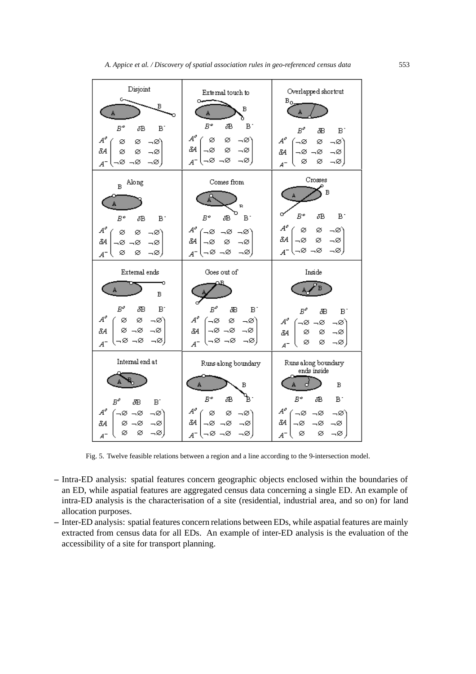| Disjoint<br>c.<br>в<br>$\mathbf{A}$<br>$B^{\mathfrak{o}}$<br>В.<br>бΒ<br>$A^{\mathcal{O}}$<br>ø<br>ø<br>⊸∅<br>δA<br>ø<br>ø<br>-Ø<br>$-8 - 8$<br>$\neg \varnothing$ .<br>$A^-$ | External touch to<br>o,<br>B<br>А<br>$B^o$<br>æ<br>$B^-$<br>$A^{\sigma}$<br>ø<br>-0)<br>ø<br>δA<br>ø<br>-Ø<br>-0<br>-0-0<br>$\neg \emptyset$<br>$A^-$             | Overlapped shortcut<br>$B_{0}$<br>$B^{\mathcal{O}}$<br>æ<br>В.<br>$A^{\mathcal{O}}$<br>ø<br>⊸⊗`<br>⊸∅<br>δA<br>-Ø.<br>.ø<br>–⊗<br>ø<br>ø<br>–⊗,<br>$A^-$                       |
|-------------------------------------------------------------------------------------------------------------------------------------------------------------------------------|-------------------------------------------------------------------------------------------------------------------------------------------------------------------|--------------------------------------------------------------------------------------------------------------------------------------------------------------------------------|
| Along<br>В<br>A<br>BΡ<br>δВ<br>В.<br>$A^{\mathfrak{o}}$<br>ø<br>ø<br>–⊗`<br>δA<br>-Ø<br>$\neg \varnothing$<br>-2<br>ø<br>ø<br>⊣⊗,<br>$A^-$                                    | Comes from<br>Þ<br>$B^o$<br>δB<br>В,<br>$A^{\mathfrak{o}}$<br>$\neg \varnothing$<br>'⊣⊗<br>⊸⊗`<br>δA<br>ø<br>⊸∅<br>-ø<br>$\neg \varnothing$<br>-Ø,<br>⊸⊗<br>$A^-$ | Crosses<br>в<br>A<br>σ<br>$B^{\mathfrak{o}}$<br>В.<br>бΒ<br>$A^{\mathfrak{o}}$<br>ø<br>ø<br>–⊗`<br>δA<br>ø<br>-0<br>-Ø<br>-⊗ –⊗<br>-ø,<br>$\boldsymbol{A}^-$                   |
| External ends<br>o<br>A<br>В<br>$B^{\mathfrak{o}}$<br>В.<br>δB<br>$A^{\mathcal{O}}$<br>ø<br>–⊗`<br>ø<br>-8<br>-0<br>ø<br>δA<br>-Ø.<br>⊸∅<br>⊸∅.<br>$A^-$                      | Goes out of<br>٦R<br>$B^{\mathcal{O}}$<br>æ<br>В.<br>$A^{\mathfrak{o}}$<br>ø<br>ั⊸⊗<br>–⊗`<br>-0<br>-Ø<br>–⊗<br>δA<br>-ø<br>- Ø<br>⊸∅<br>$A^{-}$                  | Inside<br>B<br>$B^\theta$<br>$B^{\circ}$<br>æ<br>$A^{\mathfrak{o}}$<br>⊸⊗<br>-Ø<br>–⊗`<br>ø<br>ø<br>–⊗<br>δA<br>ø<br>⊸⊗.<br>ø<br>$A^-$                                         |
| Internal end at<br>$B^{\theta}$<br>B.<br>δВ<br>$A^{\mathcal{O}}$<br>–⊗–∞<br>–⊗`<br>.ø<br>-Ø<br>δA<br>ø<br>ø<br>-⊗,<br>ø<br>$A^-$                                              | Runs along boundary<br>A<br>в<br>$B^o$<br>æ<br>Б.<br>$A^{\mathcal{O}}$<br>ø<br>ø<br>–⊗`<br>δA<br>-2<br>-ø<br>-23<br>-⊗ –⊗<br>⊣⊗,<br>$A^-$                         | Runs along boundary<br>ends inside<br>d<br>В<br>A<br>$B^o$<br>В.<br>δB<br>$A^{\sigma}$<br>′ –⊗<br>$\neg \varnothing$<br>⊸⊗`<br>δA<br>-ø<br>⊸∅<br>.01<br>ø<br>-⊗,<br>ø<br>$A^-$ |

Fig. 5. Twelve feasible relations between a region and a line according to the 9-intersection model.

- **–** Intra-ED analysis: spatial features concern geographic objects enclosed within the boundaries of an ED, while aspatial features are aggregated census data concerning a single ED. An example of intra-ED analysis is the characterisation of a site (residential, industrial area, and so on) for land allocation purposes.
- **–** Inter-ED analysis: spatial features concern relations between EDs, while aspatial features are mainly extracted from census data for all EDs. An example of inter-ED analysis is the evaluation of the accessibility of a site for transport planning.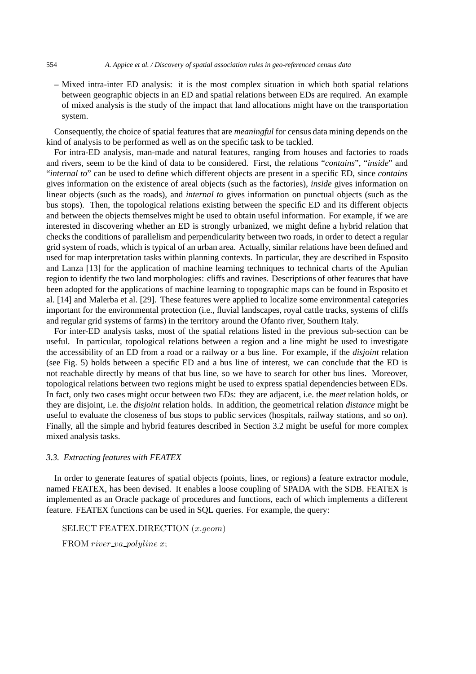**–** Mixed intra-inter ED analysis: it is the most complex situation in which both spatial relations between geographic objects in an ED and spatial relations between EDs are required. An example of mixed analysis is the study of the impact that land allocations might have on the transportation system.

Consequently, the choice of spatial features that are *meaningful* for census data mining depends on the kind of analysis to be performed as well as on the specific task to be tackled.

For intra-ED analysis, man-made and natural features, ranging from houses and factories to roads and rivers, seem to be the kind of data to be considered. First, the relations "*contains*", "*inside*" and "*internal to*" can be used to define which different objects are present in a specific ED, since *contains* gives information on the existence of areal objects (such as the factories), *inside* gives information on linear objects (such as the roads), and *internal to* gives information on punctual objects (such as the bus stops). Then, the topological relations existing between the specific ED and its different objects and between the objects themselves might be used to obtain useful information. For example, if we are interested in discovering whether an ED is strongly urbanized, we might define a hybrid relation that checks the conditions of parallelism and perpendicularity between two roads, in order to detect a regular grid system of roads, which is typical of an urban area. Actually, similar relations have been defined and used for map interpretation tasks within planning contexts. In particular, they are described in Esposito and Lanza [13] for the application of machine learning techniques to technical charts of the Apulian region to identify the two land morphologies: cliffs and ravines. Descriptions of other features that have been adopted for the applications of machine learning to topographic maps can be found in Esposito et al. [14] and Malerba et al. [29]. These features were applied to localize some environmental categories important for the environmental protection (i.e., fluvial landscapes, royal cattle tracks, systems of cliffs and regular grid systems of farms) in the territory around the Ofanto river, Southern Italy.

For inter-ED analysis tasks, most of the spatial relations listed in the previous sub-section can be useful. In particular, topological relations between a region and a line might be used to investigate the accessibility of an ED from a road or a railway or a bus line. For example, if the *disjoint* relation (see Fig. 5) holds between a specific ED and a bus line of interest, we can conclude that the ED is not reachable directly by means of that bus line, so we have to search for other bus lines. Moreover, topological relations between two regions might be used to express spatial dependencies between EDs. In fact, only two cases might occur between two EDs: they are adjacent, i.e. the *meet* relation holds, or they are disjoint, i.e. the *disjoint* relation holds. In addition, the geometrical relation *distance* might be useful to evaluate the closeness of bus stops to public services (hospitals, railway stations, and so on). Finally, all the simple and hybrid features described in Section 3.2 might be useful for more complex mixed analysis tasks.

### *3.3. Extracting features with FEATEX*

In order to generate features of spatial objects (points, lines, or regions) a feature extractor module, named FEATEX, has been devised. It enables a loose coupling of SPADA with the SDB. FEATEX is implemented as an Oracle package of procedures and functions, each of which implements a different feature. FEATEX functions can be used in SQL queries. For example, the query:

SELECT FEATEX.DIRECTION (x.geom)

FROM river\_va\_polyline  $x$ ;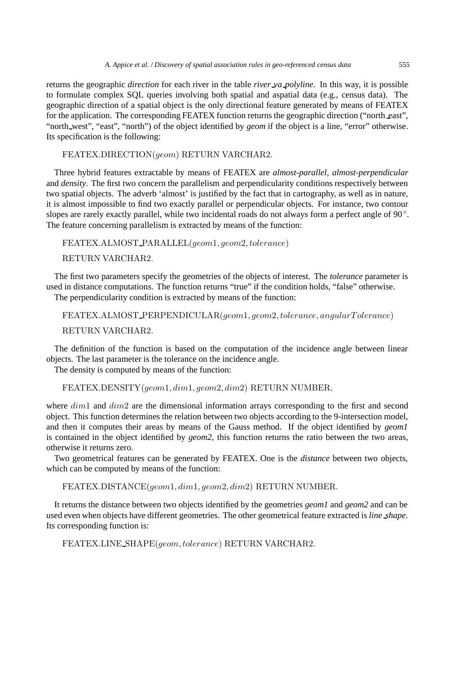returns the geographic *direction* for each river in the table *river va polyline*. In this way, it is possible to formulate complex SQL queries involving both spatial and aspatial data (e.g., census data). The geographic direction of a spatial object is the only directional feature generated by means of FEATEX for the application. The corresponding FEATEX function returns the geographic direction ("north east", "north west", "east", "north") of the object identified by *geom* if the object is a line, "error" otherwise. Its specification is the following:

FEATEX.DIRECTION(geom) RETURN VARCHAR2.

Three hybrid features extractable by means of FEATEX are *almost-parallel, almost-perpendicular* and *density*. The first two concern the parallelism and perpendicularity conditions respectively between two spatial objects. The adverb 'almost' is justified by the fact that in cartography, as well as in nature, it is almost impossible to find two exactly parallel or perpendicular objects. For instance, two contour slopes are rarely exactly parallel, while two incidental roads do not always form a perfect angle of  $90^\circ$ . The feature concerning parallelism is extracted by means of the function:

FEATEX.ALMOST PARALLEL(geom1, geom2, tolerance) RETURN VARCHAR2.

The first two parameters specify the geometries of the objects of interest. The *tolerance* parameter is used in distance computations. The function returns "true" if the condition holds, "false" otherwise. The perpendicularity condition is extracted by means of the function:

FEATEX.ALMOST PERPENDICULAR(geom1, geom2, tolerance, angularT olerance) RETURN VARCHAR2.

The definition of the function is based on the computation of the incidence angle between linear objects. The last parameter is the tolerance on the incidence angle.

The density is computed by means of the function:

FEATEX.DENSITY(geom1, dim1, geom2, dim2) RETURN NUMBER,

where  $dim1$  and  $dim2$  are the dimensional information arrays corresponding to the first and second object. This function determines the relation between two objects according to the 9-intersection model, and then it computes their areas by means of the Gauss method. If the object identified by *geom1* is contained in the object identified by *geom2*, this function returns the ratio between the two areas, otherwise it returns zero.

Two geometrical features can be generated by FEATEX. One is the *distance* between two objects, which can be computed by means of the function:

FEATEX.DISTANCE(geom1, dim1, geom2, dim2) RETURN NUMBER.

It returns the distance between two objects identified by the geometries *geom1* and *geom2* and can be used even when objects have different geometries. The other geometrical feature extracted is *line shape*. Its corresponding function is:

FEATEX.LINE SHAPE(geom, tolerance) RETURN VARCHAR2.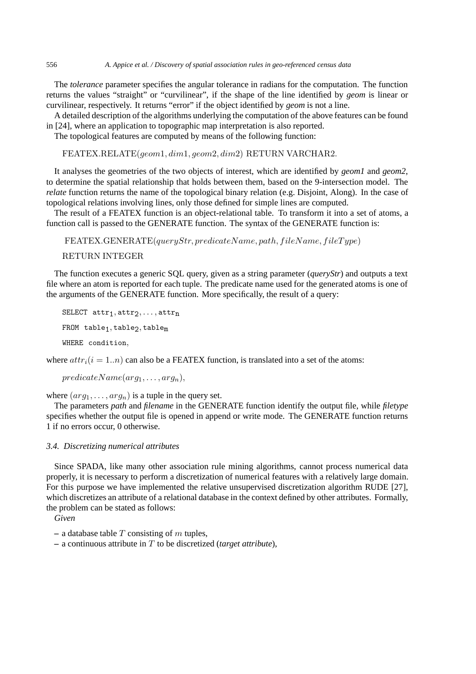The *tolerance* parameter specifies the angular tolerance in radians for the computation. The function returns the values "straight" or "curvilinear", if the shape of the line identified by *geom* is linear or curvilinear, respectively. It returns "error" if the object identified by *geom* is not a line.

A detailed description of the algorithms underlying the computation of the above features can be found in [24], where an application to topographic map interpretation is also reported.

The topological features are computed by means of the following function:

FEATEX.RELATE(geom1, dim1, geom2, dim2) RETURN VARCHAR2.

It analyses the geometries of the two objects of interest, which are identified by *geom1* and *geom2*, to determine the spatial relationship that holds between them, based on the 9-intersection model. The *relate* function returns the name of the topological binary relation (e.g. Disjoint, Along). In the case of topological relations involving lines, only those defined for simple lines are computed.

The result of a FEATEX function is an object-relational table. To transform it into a set of atoms, a function call is passed to the GENERATE function. The syntax of the GENERATE function is:

 $FEATEX.GENERATE(queryStr, predicateName, path, fileName, fileType)$ 

## RETURN INTEGER .

The function executes a generic SQL query, given as a string parameter (*queryStr*) and outputs a text file where an atom is reported for each tuple. The predicate name used for the generated atoms is one of the arguments of the GENERATE function. More specifically, the result of a query:

```
SELECT attr_1, attr_2,..., attr_nFROM table<sub>1</sub>, table<sub>2</sub>, table<sub>m</sub>
WHERE condition,
```
where  $attr_i(i = 1..n)$  can also be a FEATEX function, is translated into a set of the atoms:

 $predicateName(arg_1, \ldots, arg_n),$ 

where  $(arg_1, \ldots, arg_n)$  is a tuple in the query set.

The parameters *path* and *filename* in the GENERATE function identify the output file, while *filetype* specifies whether the output file is opened in append or write mode. The GENERATE function returns 1 if no errors occur, 0 otherwise.

#### *3.4. Discretizing numerical attributes*

Since SPADA, like many other association rule mining algorithms, cannot process numerical data properly, it is necessary to perform a discretization of numerical features with a relatively large domain. For this purpose we have implemented the relative unsupervised discretization algorithm RUDE [27], which discretizes an attribute of a relational database in the context defined by other attributes. Formally, the problem can be stated as follows:

*Given*

- **–** a database table T consisting of m tuples,
- **–** a continuous attribute in T to be discretized (*target attribute*),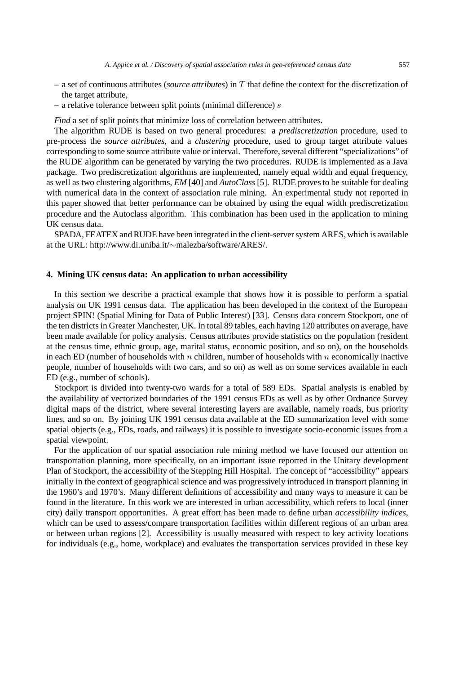- **–** a set of continuous attributes (*source attributes*) in T that define the context for the discretization of the target attribute,
- **–** a relative tolerance between split points (minimal difference) s

*Find* a set of split points that minimize loss of correlation between attributes.

The algorithm RUDE is based on two general procedures: a *prediscretization* procedure, used to pre-process the *source attributes*, and a *clustering* procedure, used to group target attribute values corresponding to some source attribute value or interval. Therefore, several different "specializations" of the RUDE algorithm can be generated by varying the two procedures. RUDE is implemented as a Java package. Two prediscretization algorithms are implemented, namely equal width and equal frequency, as well as two clustering algorithms, *EM* [40] and *AutoClass* [5]. RUDE proves to be suitable for dealing with numerical data in the context of association rule mining. An experimental study not reported in this paper showed that better performance can be obtained by using the equal width prediscretization procedure and the Autoclass algorithm. This combination has been used in the application to mining UK census data.

SPADA, FEATEX and RUDE have been integrated in the client-server system ARES, which is available at the URL: http://www.di.uniba.it/∼malezba/software/ARES/.

# **4. Mining UK census data: An application to urban accessibility**

In this section we describe a practical example that shows how it is possible to perform a spatial analysis on UK 1991 census data. The application has been developed in the context of the European project SPIN! (Spatial Mining for Data of Public Interest) [33]. Census data concern Stockport, one of the ten districts in Greater Manchester, UK. In total 89 tables, each having 120 attributes on average, have been made available for policy analysis. Census attributes provide statistics on the population (resident at the census time, ethnic group, age, marital status, economic position, and so on), on the households in each ED (number of households with n children, number of households with n economically inactive people, number of households with two cars, and so on) as well as on some services available in each ED (e.g., number of schools).

Stockport is divided into twenty-two wards for a total of 589 EDs. Spatial analysis is enabled by the availability of vectorized boundaries of the 1991 census EDs as well as by other Ordnance Survey digital maps of the district, where several interesting layers are available, namely roads, bus priority lines, and so on. By joining UK 1991 census data available at the ED summarization level with some spatial objects (e.g., EDs, roads, and railways) it is possible to investigate socio-economic issues from a spatial viewpoint.

For the application of our spatial association rule mining method we have focused our attention on transportation planning, more specifically, on an important issue reported in the Unitary development Plan of Stockport, the accessibility of the Stepping Hill Hospital. The concept of "accessibility" appears initially in the context of geographical science and was progressively introduced in transport planning in the 1960's and 1970's. Many different definitions of accessibility and many ways to measure it can be found in the literature. In this work we are interested in urban accessibility, which refers to local (inner city) daily transport opportunities. A great effort has been made to define urban *accessibility indices*, which can be used to assess/compare transportation facilities within different regions of an urban area or between urban regions [2]. Accessibility is usually measured with respect to key activity locations for individuals (e.g., home, workplace) and evaluates the transportation services provided in these key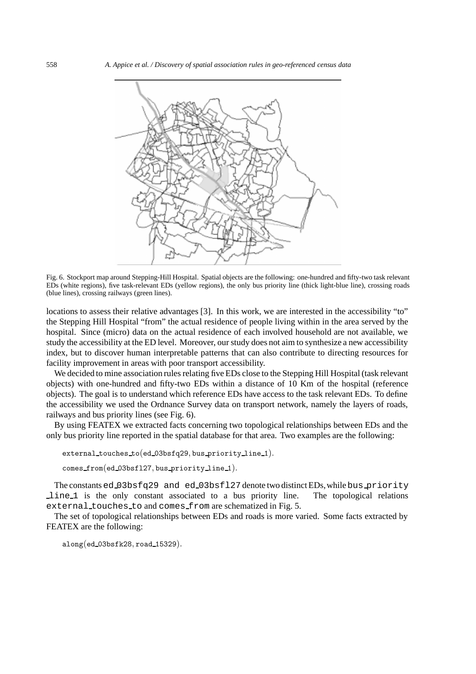

Fig. 6. Stockport map around Stepping-Hill Hospital. Spatial objects are the following: one-hundred and fifty-two task relevant EDs (white regions), five task-relevant EDs (yellow regions), the only bus priority line (thick light-blue line), crossing roads (blue lines), crossing railways (green lines).

locations to assess their relative advantages [3]. In this work, we are interested in the accessibility "to" the Stepping Hill Hospital "from" the actual residence of people living within in the area served by the hospital. Since (micro) data on the actual residence of each involved household are not available, we study the accessibility at the ED level. Moreover, our study does not aim to synthesize a new accessibility index, but to discover human interpretable patterns that can also contribute to directing resources for facility improvement in areas with poor transport accessibility.

We decided to mine association rules relating five EDs close to the Stepping Hill Hospital (task relevant objects) with one-hundred and fifty-two EDs within a distance of 10 Km of the hospital (reference objects). The goal is to understand which reference EDs have access to the task relevant EDs. To define the accessibility we used the Ordnance Survey data on transport network, namely the layers of roads, railways and bus priority lines (see Fig. 6).

By using FEATEX we extracted facts concerning two topological relationships between EDs and the only bus priority line reported in the spatial database for that area. Two examples are the following:

```
external_touches_to(ed_03bsfq29, bus_priority_line_1).
comes from(ed 03bsfl27, bus priority line 1).
```
The constants  $ed_03bsfq29$  and  $ed_03bsf127$  denote two distinct EDs, while bus priority line 1 is the only constant associated to a bus priority line. The topological relations external\_touches\_to and comes\_from are schematized in Fig. 5.

The set of topological relationships between EDs and roads is more varied. Some facts extracted by FEATEX are the following:

 $along(ed_03bsfk28, road_15329).$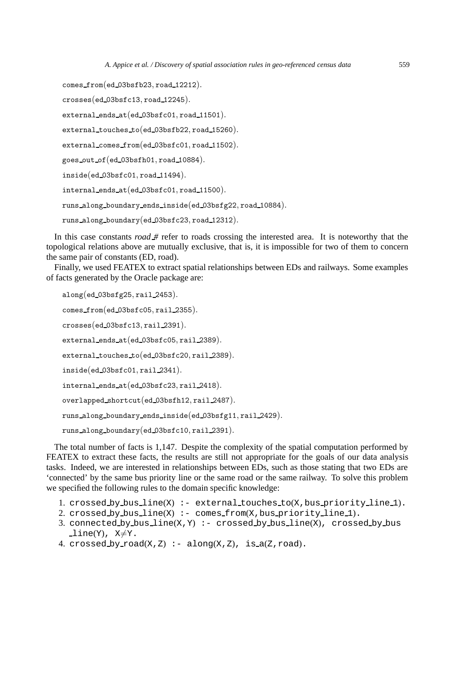```
comes_from(ed_03bsfb23, road_12212).
```
 $crosses(ed_03bsfc13, road_12245).$ 

external\_ends\_at(ed\_03bsfc01, road\_11501).

external\_touches\_to(ed\_03bsfb22, road\_15260).

external\_comes\_from(ed\_03bsfc01, road\_11502).

goes out of(ed 03bsfh01, road 10884).

inside(ed 03bsfc01, road 11494).

internal ends at(ed 03bsfc01, road 11500).

runs along boundary ends inside(ed 03bsfg22, road 10884).

runs along boundary(ed 03bsfc23, road 12312).

In this case constants *road* # refer to roads crossing the interested area. It is noteworthy that the topological relations above are mutually exclusive, that is, it is impossible for two of them to concern the same pair of constants (ED, road).

Finally, we used FEATEX to extract spatial relationships between EDs and railways. Some examples of facts generated by the Oracle package are:

```
along(ed_03bsfg25, rail_2453).
comes from(ed_03bsfc05, rail_2355).
crosses(ed 03bsfc13, rail 2391).
external ends at(ed 03bsfc05, rail 2389).
external_touches_to(ed_03bsfc20, rail_2389).
inside(ed 03bsfc01, rail 2341).
internal ends at(ed 03bsfc23, rail 2418).
overlapped shortcut(ed 03bsfh12, rail 2487).
runs along boundary ends inside(ed 03bsfg11, rail 2429).
runs along boundary(ed 03bsfc10, rail 2391).
```
The total number of facts is 1,147. Despite the complexity of the spatial computation performed by FEATEX to extract these facts, the results are still not appropriate for the goals of our data analysis tasks. Indeed, we are interested in relationships between EDs, such as those stating that two EDs are 'connected' by the same bus priority line or the same road or the same railway. To solve this problem we specified the following rules to the domain specific knowledge:

- 1. crossed by bus line(X) :- external touches to(X,bus priority line 1).
- 2.  $crossed_by_bus(line(X) :- comesfrom(X,bus-privateLine_1).$
- 3. connected by bus  $line(X,Y)$  :- crossed by bus  $line(X)$ , crossed by bus  $line(Y)$ ,  $X \neq Y$ .
- 4. crossed\_by\_road $(X,Z)$  :- along $(X,Z)$ , is\_a $(Z,road)$ .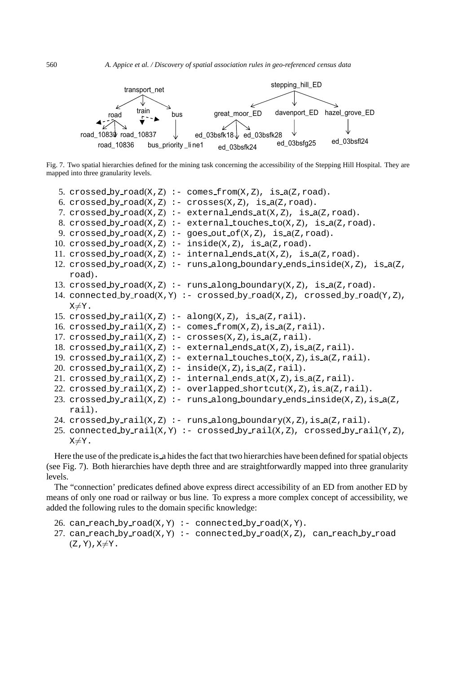

Fig. 7. Two spatial hierarchies defined for the mining task concerning the accessibility of the Stepping Hill Hospital. They are mapped into three granularity levels.

```
5. crossed by road(X, Z) :- comes from(X, Z), is a(Z, road).
 6. crossed by road(X, Z) :- crosses(X, Z), is a(Z, road).
7. crossed by road(X, Z) :- external ends at(X, Z), is a(Z, road).
 8. crossed by road(X, Z) :- external touches to(X, Z), is a(Z, road).
9. crossed by road(X, Z): - qoes out of(X, Z), is a(Z, road).
10. crossed by road(X, Z) :- inside(X, Z), is a(Z, road).
11. crossed by \text{road}(X, Z) :- internal ends \text{att}(X, Z), is \text{att}(Z, \text{road}).
12. crossed by \text{road}(X, Z) :- runs along boundary ends inside(X, Z), is a(Z, Z)road).
13. crossed by \text{road}(X, Z) :- runs along boundary(X, Z), is \text{ad}(Z, \text{road}).
14. connected by \text{road}(X, Y) :- crossed by \text{road}(X, Z), crossed by \text{road}(Y, Z),
   X \neq Y.
15. crossed by \text{raid}(X, Z) :- along(X, Z), is a(Z, \text{raid}).
16. crossed by \text{raid}(X, Z) :- comes \text{from}(X, Z), \text{is}\text{a}(Z, \text{raid}).
17. crossed by raid(X, Z) :- crosses(X, Z), is a(Z, \text{raid}).
18. crossed by \text{raid}(X, Z) :- external ends \text{at}(X, Z), is \text{af}(Z, \text{raid}).
19. crossed by raid(X, Z) :- external touches to(X, Z), is a(Z, \text{raid}).
20. crossed by rail(X, Z) :- inside(X, Z), is a(Z, \text{raid}).
21. crossed_by_rail(X, Z) :- internal_ends_at(X, Z), is_a(Z, \text{real}).
22. crossed by raid(X, Z) :- overlapped shortcut(X, Z), is a(Z, \text{raid}).
23. crossed by \text{raid}(X, Z) :- runs along boundary ends inside(X, Z), is a(Z, Z)rail).
24. crossed by \text{raid}(X, Z) := \text{runs\_along\_boundary}(X, Z), \text{is\_a}(Z, \text{raid}).25. connected by \text{raid}(X, Y) :- crossed by \text{raid}(X, Z), crossed by \text{raid}(Y, Z),
   X \neq Y.
```
Here the use of the predicate is a hides the fact that two hierarchies have been defined for spatial objects (see Fig. 7). Both hierarchies have depth three and are straightforwardly mapped into three granularity levels.

The "connection' predicates defined above express direct accessibility of an ED from another ED by means of only one road or railway or bus line. To express a more complex concept of accessibility, we added the following rules to the domain specific knowledge:

26. can reach by  $road(X, Y)$  : - connected by  $road(X, Y)$ . 27. can reach by road $(X, Y)$  :- connected by road $(X, Z)$ , can reach by road  $(Z, Y), X \neq Y.$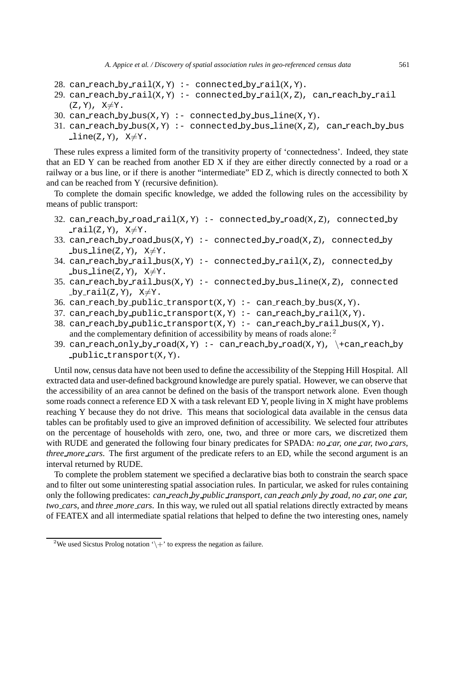- 28. can reach by  $rail(X, Y)$  : connected by  $raid(X, Y)$ .
- 29. can reach by  $rail(X, Y)$  :- connected by  $raid(X, Z)$ , can reach by rail  $(Z, Y)$ ,  $X \neq Y$ .
- 30. can reach by  $bus(X, Y)$  :- connected by bus line(X, Y).
- 31. can reach by  $bus(X, Y)$  :- connected by  $bus$  line(X,Z), can reach by bus  $line(Z,Y)$ ,  $X \neq Y$ .

These rules express a limited form of the transitivity property of 'connectedness'. Indeed, they state that an ED Y can be reached from another ED X if they are either directly connected by a road or a railway or a bus line, or if there is another "intermediate" ED Z, which is directly connected to both X and can be reached from Y (recursive definition).

To complete the domain specific knowledge, we added the following rules on the accessibility by means of public transport:

- 32. can reach by road rail( $X, Y$ ) :- connected by road( $X, Z$ ), connected by  $rail(Z,Y)$ ,  $X \neq Y$ .
- 33. can reach by road  $bus(X,Y)$  : connected by road(X,Z), connected by  $bus$ line(Z,Y),  $X \neq Y$ .
- 34. can reach by rail bus(X, Y) : connected by rail(X, Z), connected by  $bus$ line(Z,Y),  $X \neq Y$ .
- 35. can reach by rail bus(X, Y) :- connected by bus line(X, Z), connected  $by$  rail(Z, Y),  $X \neq Y$ .
- 36. can reach by public transport $(X, Y)$  : can reach by bus $(X, Y)$ .
- 37. can reach by public transport $(X, Y)$  : can reach by rail $(X, Y)$ .
- 38. can reach by public transport $(X, Y)$  : can reach by rail bus $(X, Y)$ . and the complementary definition of accessibility by means of roads alone: <sup>2</sup>
- 39. can reach only by road(X, Y) :- can reach by road(X, Y),  $\text{+can}$  reach by public transport(X,Y).

Until now, census data have not been used to define the accessibility of the Stepping Hill Hospital. All extracted data and user-defined background knowledge are purely spatial. However, we can observe that the accessibility of an area cannot be defined on the basis of the transport network alone. Even though some roads connect a reference ED X with a task relevant ED Y, people living in X might have problems reaching Y because they do not drive. This means that sociological data available in the census data tables can be profitably used to give an improved definition of accessibility. We selected four attributes on the percentage of households with zero, one, two, and three or more cars, we discretized them with RUDE and generated the following four binary predicates for SPADA: *no car, one car, two cars, three more cars*. The first argument of the predicate refers to an ED, while the second argument is an interval returned by RUDE.

To complete the problem statement we specified a declarative bias both to constrain the search space and to filter out some uninteresting spatial association rules. In particular, we asked for rules containing only the following predicates: *can reach by public transport, can reach only by road, no car, one car, two cars*, and *three more cars*. In this way, we ruled out all spatial relations directly extracted by means of FEATEX and all intermediate spatial relations that helped to define the two interesting ones, namely

<sup>&</sup>lt;sup>2</sup>We used Sicstus Prolog notation ' $\downarrow$  to express the negation as failure.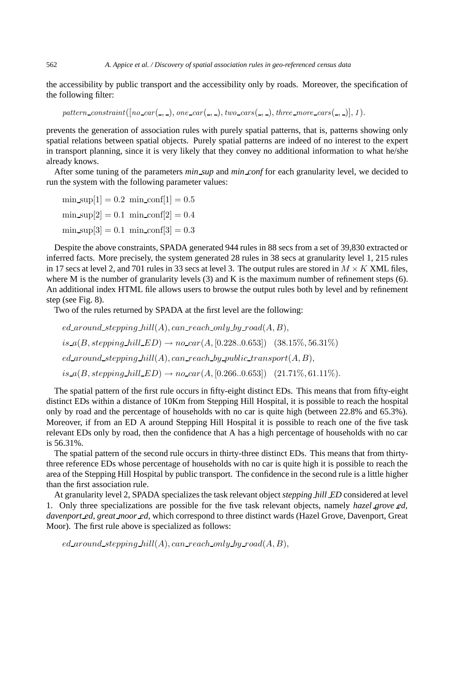the accessibility by public transport and the accessibility only by roads. Moreover, the specification of the following filter:

 $pattern\_constraint([no\_car(\_ ,\_ ),one\_car(\_ ,\_ ),two\_cars(\_ ,\_ ),three\_more\_cars(\_ ,\_ ),1).$ 

prevents the generation of association rules with purely spatial patterns, that is, patterns showing only spatial relations between spatial objects. Purely spatial patterns are indeed of no interest to the expert in transport planning, since it is very likely that they convey no additional information to what he/she already knows.

After some tuning of the parameters *min sup* and *min conf* for each granularity level, we decided to run the system with the following parameter values:

 $\min \sup[1] = 0.2 \min \mathrm{conf}[1] = 0.5$  $\min_{\text{sup}}[2] = 0.1 \min_{\text{sup}}[2] = 0.4$ min sup $[3] = 0.1$  min conf[3] = 0.3

Despite the above constraints, SPADA generated 944 rules in 88 secs from a set of 39,830 extracted or inferred facts. More precisely, the system generated 28 rules in 38 secs at granularity level 1, 215 rules in 17 secs at level 2, and 701 rules in 33 secs at level 3. The output rules are stored in  $M \times K$  XML files, where M is the number of granularity levels  $(3)$  and K is the maximum number of refinement steps  $(6)$ . An additional index HTML file allows users to browse the output rules both by level and by refinement step (see Fig. 8).

Two of the rules returned by SPADA at the first level are the following:

 $ed\_{around\_{stepping\_{hill}(A), can\_{reach\_{only}by\_{road}(A, B),$  $is_{a}(B, stepping\text{-}hill\text{-}ED) \rightarrow no\text{-}car(A, [0.228..0.653])$  (38.15%, 56.31%)  $ed\_around\_stepping\_hill(A), can\_reach\_by\_public\_transport(A, B),$ is  $a(B, \text{stepping-hill} \to \text{no\_car}(A, [0.266..0.653])$  (21.71\%, 61.11\%).

The spatial pattern of the first rule occurs in fifty-eight distinct EDs. This means that from fifty-eight distinct EDs within a distance of 10Km from Stepping Hill Hospital, it is possible to reach the hospital only by road and the percentage of households with no car is quite high (between 22.8% and 65.3%). Moreover, if from an ED A around Stepping Hill Hospital it is possible to reach one of the five task relevant EDs only by road, then the confidence that A has a high percentage of households with no car is 56.31%.

The spatial pattern of the second rule occurs in thirty-three distinct EDs. This means that from thirtythree reference EDs whose percentage of households with no car is quite high it is possible to reach the area of the Stepping Hill Hospital by public transport. The confidence in the second rule is a little higher than the first association rule.

At granularity level 2, SPADA specializes the task relevant object *stepping hill ED* considered at level 1. Only three specializations are possible for the five task relevant objects, namely *hazel grove ed, davenport ed, great moor ed*, which correspond to three distinct wards (Hazel Grove, Davenport, Great Moor). The first rule above is specialized as follows:

 $ed\_{around\_{stepping\_{hill}(A), can\_{reach\_{only} by\_{road}(A, B),}$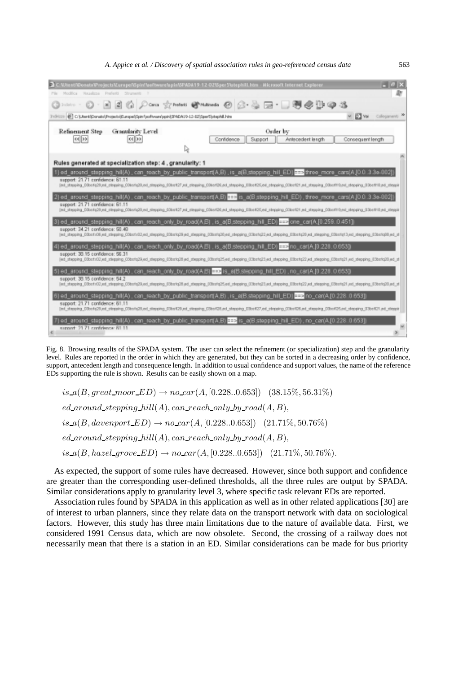

Fig. 8. Browsing results of the SPADA system. The user can select the refinement (or specialization) step and the granularity level. Rules are reported in the order in which they are generated, but they can be sorted in a decreasing order by confidence, support, antecedent length and consequence length. In addition to usual confidence and support values, the name of the reference EDs supporting the rule is shown. Results can be easily shown on a map.

 $is_a(B, great{\text{-}moor\_ED}) \rightarrow no\_{car}(A, [0.228..0.653])$  (38.15\%, 56.31\%)  $ed\_{around\_{stepping\_{hill}(A), can\_{reach\_{only\_{by\_{road}(A, B),$  $is_a(B, davenport\_ED) \rightarrow no\ car(A, [0.228..0.653])$  (21.71\%, 50.76\%)  $ed\_{around\_{stepping\_{hill}}(A), can\_reach\_{only\_{by\_{road}}(A, B),$ is  $a(B, \text{hazel\_grove\_ED}) \rightarrow no \text{ car}(A, [0.228..0.653])$  (21.71\%, 50.76\%).

As expected, the support of some rules have decreased. However, since both support and confidence are greater than the corresponding user-defined thresholds, all the three rules are output by SPADA. Similar considerations apply to granularity level 3, where specific task relevant EDs are reported.

Association rules found by SPADA in this application as well as in other related applications [30] are of interest to urban planners, since they relate data on the transport network with data on sociological factors. However, this study has three main limitations due to the nature of available data. First, we considered 1991 Census data, which are now obsolete. Second, the crossing of a railway does not necessarily mean that there is a station in an ED. Similar considerations can be made for bus priority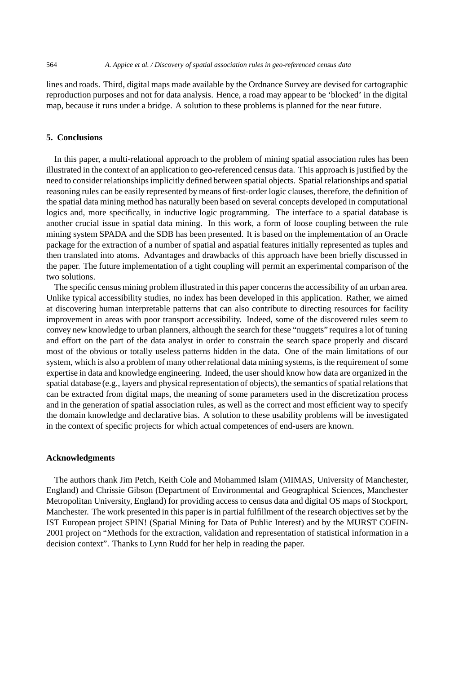lines and roads. Third, digital maps made available by the Ordnance Survey are devised for cartographic reproduction purposes and not for data analysis. Hence, a road may appear to be 'blocked' in the digital map, because it runs under a bridge. A solution to these problems is planned for the near future.

# **5. Conclusions**

In this paper, a multi-relational approach to the problem of mining spatial association rules has been illustrated in the context of an application to geo-referenced census data. This approach is justified by the need to consider relationships implicitly defined between spatial objects. Spatial relationships and spatial reasoning rules can be easily represented by means of first-order logic clauses, therefore, the definition of the spatial data mining method has naturally been based on several concepts developed in computational logics and, more specifically, in inductive logic programming. The interface to a spatial database is another crucial issue in spatial data mining. In this work, a form of loose coupling between the rule mining system SPADA and the SDB has been presented. It is based on the implementation of an Oracle package for the extraction of a number of spatial and aspatial features initially represented as tuples and then translated into atoms. Advantages and drawbacks of this approach have been briefly discussed in the paper. The future implementation of a tight coupling will permit an experimental comparison of the two solutions.

The specific census mining problem illustrated in this paper concerns the accessibility of an urban area. Unlike typical accessibility studies, no index has been developed in this application. Rather, we aimed at discovering human interpretable patterns that can also contribute to directing resources for facility improvement in areas with poor transport accessibility. Indeed, some of the discovered rules seem to convey new knowledge to urban planners, although the search for these "nuggets" requires a lot of tuning and effort on the part of the data analyst in order to constrain the search space properly and discard most of the obvious or totally useless patterns hidden in the data. One of the main limitations of our system, which is also a problem of many other relational data mining systems, is the requirement of some expertise in data and knowledge engineering. Indeed, the user should know how data are organized in the spatial database (e.g., layers and physical representation of objects), the semantics of spatial relations that can be extracted from digital maps, the meaning of some parameters used in the discretization process and in the generation of spatial association rules, as well as the correct and most efficient way to specify the domain knowledge and declarative bias. A solution to these usability problems will be investigated in the context of specific projects for which actual competences of end-users are known.

### **Acknowledgments**

The authors thank Jim Petch, Keith Cole and Mohammed Islam (MIMAS, University of Manchester, England) and Chrissie Gibson (Department of Environmental and Geographical Sciences, Manchester Metropolitan University, England) for providing access to census data and digital OS maps of Stockport, Manchester. The work presented in this paper is in partial fulfillment of the research objectives set by the IST European project SPIN! (Spatial Mining for Data of Public Interest) and by the MURST COFIN-2001 project on "Methods for the extraction, validation and representation of statistical information in a decision context". Thanks to Lynn Rudd for her help in reading the paper.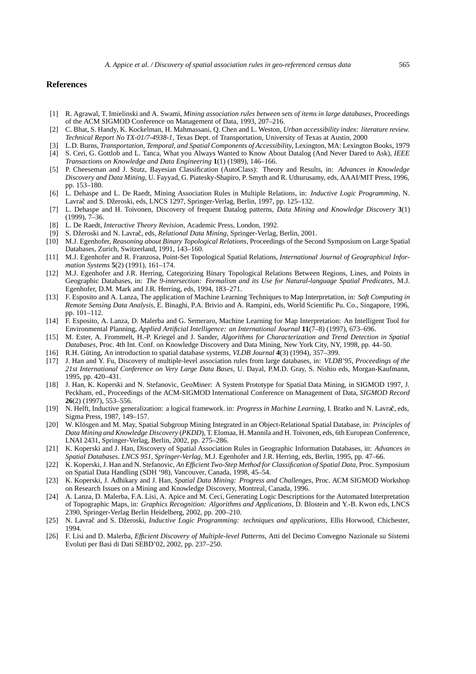- [1] R. Agrawal, T. Imielinski and A. Swami, *Mining association rules between sets of items in large databases*, Proceedings of the ACM SIGMOD Conference on Management of Data, 1993, 207–216.
- [2] C. Bhat, S. Handy, K. Kockelman, H. Mahmassani, Q. Chen and L. Weston, *Urban accessibility index: literature review. Technical Report No TX-01/7-4938-1*, Texas Dept. of Transportation, University of Texas at Austin, 2000
- [3] L.D. Burns, *Transportation, Temporal, and Spatial Components of Accessibility*, Lexington, MA: Lexington Books, 1979
- [4] S. Ceri, G. Gottlob and L. Tanca, What you Always Wanted to Know About Datalog (And Never Dared to Ask), *IEEE Transactions on Knowledge and Data Engineering* **1**(1) (1989), 146–166.
- [5] P. Cheeseman and J. Stutz, Bayesian Classification (AutoClass): Theory and Results, in: *Advances in Knowledge Discovery and Data Mining*, U. Fayyad, G. Piatesky-Shapiro, P. Smyth and R. Uthurusamy, eds, AAAI/MIT Press, 1996, pp. 153–180.
- [6] L. Dehaspe and L. De Raedt, Mining Association Rules in Multiple Relations, in: *Inductive Logic Programming*, N. Lavrač and S. Džeroski, eds, LNCS 1297, Springer-Verlag, Berlin, 1997, pp. 125–132.
- [7] L. Dehaspe and H. Toivonen, Discovery of frequent Datalog patterns, *Data Mining and Knowledge Discovery* **3**(1) (1999), 7–36.
- [8] L. De Raedt, *Interactive Theory Revision*, Academic Press, London, 1992.
- [9] S. Džeroski and N. Lavrač, eds, *Relational Data Mining*, Springer-Verlag, Berlin, 2001.
- [10] M.J. Egenhofer, *Reasoning about Binary Topological Relations*, Proceedings of the Second Symposium on Large Spatial Databases, Zurich, Switzerland, 1991, 143–160.
- [11] M.J. Egenhofer and R. Franzosa, Point-Set Topological Spatial Relations, *International Journal of Geographical Information Systems* **5**(2) (1991), 161–174.
- [12] M.J. Egenhofer and J.R. Herring, Categorizing Binary Topological Relations Between Regions, Lines, and Points in Geographic Databases, in: *The 9-intersection: Formalism and its Use for Natural-language Spatial Predicates*, M.J. Egenhofer, D.M. Mark and J.R. Herring, eds, 1994, 183–271.
- [13] F. Esposito and A. Lanza, The application of Machine Learning Techniques to Map Interpretation, in: *Soft Computing in Remote Sensing Data Analysis*, E. Binaghi, P.A. Brivio and A. Rampini, eds, World Scientific Pu. Co., Singapore, 1996, pp. 101–112.
- [14] F. Esposito, A. Lanza, D. Malerba and G. Semeraro, Machine Learning for Map Interpretation: An Intelligent Tool for Environmental Planning, *Applied Artificial Intelligence: an International Journal* **11**(7–8) (1997), 673–696.
- [15] M. Ester, A. Frommelt, H.-P. Kriegel and J. Sander, *Algorithms for Characterization and Trend Detection in Spatial Databases*, Proc. 4th Int. Conf. on Knowledge Discovery and Data Mining, New York City, NY, 1998, pp. 44–50.
- [16] R.H. Güting, An introduction to spatial database systems, *VLDB Journal* 4(3) (1994), 357–399.
- [17] J. Han and Y. Fu, Discovery of multiple-level association rules from large databases, in: *VLDB'95, Proceedings of the 21st International Conference on Very Large Data Bases*, U. Dayal, P.M.D. Gray, S. Nishio eds, Morgan-Kaufmann, 1995, pp. 420–431.
- [18] J. Han, K. Koperski and N. Stefanovic, GeoMiner: A System Prototype for Spatial Data Mining, in SIGMOD 1997, J. Peckham, ed., Proceedings of the ACM-SIGMOD International Conference on Management of Data, *SIGMOD Record* **26**(2) (1997), 553–556.
- [19] N. Helft, Inductive generalization: a logical framework. in: *Progress in Machine Learning*, I. Bratko and N. Lavrač, eds, Sigma Press, 1987, 149–157.
- [20] W. Klösgen and M. May, Spatial Subgroup Mining Integrated in an Object-Relational Spatial Database, in: *Principles of Data Mining and Knowledge Discovery* (*PKDD*), T. Elomaa, H. Mannila and H. Toivonen, eds, 6th European Conference, LNAI 2431, Springer-Verlag, Berlin, 2002, pp. 275–286.
- [21] K. Koperski and J. Han, Discovery of Spatial Association Rules in Geographic Information Databases, in: *Advances in Spatial Databases. LNCS 951, Springer-Verlag*, M.J. Egenhofer and J.R. Herring, eds, Berlin, 1995, pp. 47–66.
- [22] K. Koperski, J. Han and N. Stefanovic, *An Efficient Two-Step Method for Classification of Spatial Data*, Proc. Symposium on Spatial Data Handling (SDH '98), Vancouver, Canada, 1998, 45–54.
- [23] K. Koperski, J. Adhikary and J. Han, *Spatial Data Mining: Progress and Challenges*, Proc. ACM SIGMOD Workshop on Research Issues on a Mining and Knowledge Discovery, Montreal, Canada, 1996.
- [24] A. Lanza, D. Malerba, F.A. Lisi, A. Apice and M. Ceci, Generating Logic Descriptions for the Automated Interpretation of Topographic Maps, in: *Graphics Recognition: Algorithms and Applications*, D. Blostein and Y.-B. Kwon eds, LNCS 2390, Springer-Verlag Berlin Heidelberg, 2002, pp. 200–210.
- [25] N. Lavrač and S. Džeroski, *Inductive Logic Programming: techniques and applications*, Ellis Horwood, Chichester, 1994.
- [26] F. Lisi and D. Malerba, *Efficient Discovery of Multiple-level Patterns*, Atti del Decimo Convegno Nazionale su Sistemi Evoluti per Basi di Dati SEBD'02, 2002, pp. 237–250.